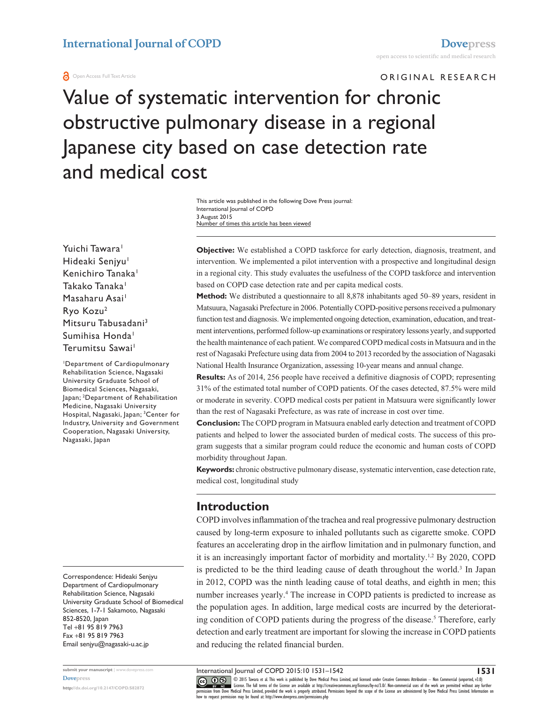#### **a** Open Access Full Text Article

ORIGINAL RESEARCH

# Value of systematic intervention for chronic obstructive pulmonary disease in a regional Japanese city based on case detection rate and medical cost

Number of times this article has been viewed This article was published in the following Dove Press journal: International Journal of COPD 3 August 2015

Yuichi Tawara<sup>1</sup> Hideaki Senjyu<sup>1</sup> Kenichiro Tanaka<sup>1</sup> Takako Tanaka<sup>1</sup> Masaharu Asai<sup>1</sup> Ryo Kozu2 Mitsuru Tabusadani3 Sumihisa Honda<sup>1</sup> Terumitsu Sawai<sup>1</sup>

1 Department of Cardiopulmonary Rehabilitation Science, Nagasaki University Graduate School of Biomedical Sciences, Nagasaki, Japan; 2 Department of Rehabilitation Medicine, Nagasaki University Hospital, Nagasaki, Japan; 3 Center for Industry, University and Government Cooperation, Nagasaki University, Nagasaki, Japan

Correspondence: Hideaki Senjyu Department of Cardiopulmonary Rehabilitation Science, Nagasaki University Graduate School of Biomedical Sciences, 1-7-1 Sakamoto, Nagasaki 852-8520, Japan Tel +81 95 819 7963 Fax +81 95 819 7963 Email [senjyu@nagasaki-u.ac.jp](mailto:senjyu@nagasaki-u.ac.jp)

**submit your manuscript** | <www.dovepress.com> **[Dovepress](www.dovepress.com)**

**<http://dx.doi.org/10.2147/COPD.S82872>**

**Objective:** We established a COPD taskforce for early detection, diagnosis, treatment, and intervention. We implemented a pilot intervention with a prospective and longitudinal design in a regional city. This study evaluates the usefulness of the COPD taskforce and intervention based on COPD case detection rate and per capita medical costs.

**Method:** We distributed a questionnaire to all 8,878 inhabitants aged 50–89 years, resident in Matsuura, Nagasaki Prefecture in 2006. Potentially COPD-positive persons received a pulmonary function test and diagnosis. We implemented ongoing detection, examination, education, and treatment interventions, performed follow-up examinations or respiratory lessons yearly, and supported the health maintenance of each patient. We compared COPD medical costs in Matsuura and in the rest of Nagasaki Prefecture using data from 2004 to 2013 recorded by the association of Nagasaki National Health Insurance Organization, assessing 10-year means and annual change.

**Results:** As of 2014, 256 people have received a definitive diagnosis of COPD; representing 31% of the estimated total number of COPD patients. Of the cases detected, 87.5% were mild or moderate in severity. COPD medical costs per patient in Matsuura were significantly lower than the rest of Nagasaki Prefecture, as was rate of increase in cost over time.

**Conclusion:** The COPD program in Matsuura enabled early detection and treatment of COPD patients and helped to lower the associated burden of medical costs. The success of this program suggests that a similar program could reduce the economic and human costs of COPD morbidity throughout Japan.

**Keywords:** chronic obstructive pulmonary disease, systematic intervention, case detection rate, medical cost, longitudinal study

### **Introduction**

COPD involves inflammation of the trachea and real progressive pulmonary destruction caused by long-term exposure to inhaled pollutants such as cigarette smoke. COPD features an accelerating drop in the airflow limitation and in pulmonary function, and it is an increasingly important factor of morbidity and mortality.<sup>1,2</sup> By 2020, COPD is predicted to be the third leading cause of death throughout the world.<sup>3</sup> In Japan in 2012, COPD was the ninth leading cause of total deaths, and eighth in men; this number increases yearly.<sup>4</sup> The increase in COPD patients is predicted to increase as the population ages. In addition, large medical costs are incurred by the deteriorating condition of COPD patients during the progress of the disease.<sup>5</sup> Therefore, early detection and early treatment are important for slowing the increase in COPD patients and reducing the related financial burden.

International Journal of COPD 2015:10 1531–1542

CO ODIS Tawara et al. This work is published by Dove Medical Press Limited, and licensed under Creative Commons Attribution - Non Commercial (unported, v3.0)<br> [permission from Dove M](http://www.dovepress.com/permissions.php)edical Press Limited, provided the work i how to request permission may be found at: http://www.dovepress.com/permissions.php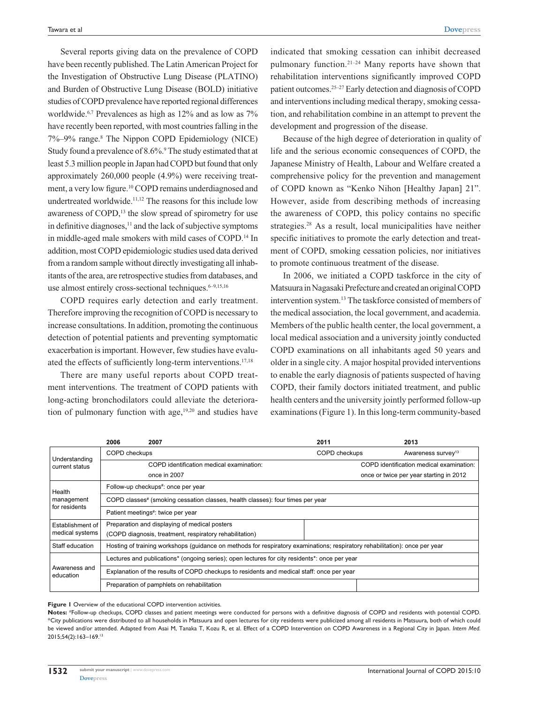Several reports giving data on the prevalence of COPD have been recently published. The Latin American Project for the Investigation of Obstructive Lung Disease (PLATINO) and Burden of Obstructive Lung Disease (BOLD) initiative studies of COPD prevalence have reported regional differences worldwide.6,7 Prevalences as high as 12% and as low as 7% have recently been reported, with most countries falling in the 7%–9% range.8 The Nippon COPD Epidemiology (NICE) Study found a prevalence of 8.6%.<sup>9</sup> The study estimated that at least 5.3 million people in Japan had COPD but found that only approximately 260,000 people (4.9%) were receiving treatment, a very low figure.<sup>10</sup> COPD remains underdiagnosed and undertreated worldwide.11,12 The reasons for this include low awareness of COPD,<sup>13</sup> the slow spread of spirometry for use in definitive diagnoses, $11$  and the lack of subjective symptoms in middle-aged male smokers with mild cases of COPD.14 In addition, most COPD epidemiologic studies used data derived from a random sample without directly investigating all inhabitants of the area, are retrospective studies from databases, and use almost entirely cross-sectional techniques. $6-9,15,16$ 

COPD requires early detection and early treatment. Therefore improving the recognition of COPD is necessary to increase consultations. In addition, promoting the continuous detection of potential patients and preventing symptomatic exacerbation is important. However, few studies have evaluated the effects of sufficiently long-term interventions.17,18

There are many useful reports about COPD treatment interventions. The treatment of COPD patients with long-acting bronchodilators could alleviate the deterioration of pulmonary function with age,<sup>19,20</sup> and studies have

indicated that smoking cessation can inhibit decreased pulmonary function.21–24 Many reports have shown that rehabilitation interventions significantly improved COPD patient outcomes.25–27 Early detection and diagnosis of COPD and interventions including medical therapy, smoking cessation, and rehabilitation combine in an attempt to prevent the development and progression of the disease.

Because of the high degree of deterioration in quality of life and the serious economic consequences of COPD, the Japanese Ministry of Health, Labour and Welfare created a comprehensive policy for the prevention and management of COPD known as "Kenko Nihon [Healthy Japan] 21". However, aside from describing methods of increasing the awareness of COPD, this policy contains no specific strategies.<sup>28</sup> As a result, local municipalities have neither specific initiatives to promote the early detection and treatment of COPD, smoking cessation policies, nor initiatives to promote continuous treatment of the disease.

In 2006, we initiated a COPD taskforce in the city of Matsuura in Nagasaki Prefecture and created an original COPD intervention system.13 The taskforce consisted of members of the medical association, the local government, and academia. Members of the public health center, the local government, a local medical association and a university jointly conducted COPD examinations on all inhabitants aged 50 years and older in a single city. A major hospital provided interventions to enable the early diagnosis of patients suspected of having COPD, their family doctors initiated treatment, and public health centers and the university jointly performed follow-up examinations (Figure 1). In this long-term community-based

|                                       | 2006                                                                                                                        | 2007                                                    | 2011          |  | 2013                                     |  |
|---------------------------------------|-----------------------------------------------------------------------------------------------------------------------------|---------------------------------------------------------|---------------|--|------------------------------------------|--|
| Understanding<br>current status       | COPD checkups                                                                                                               |                                                         | COPD checkups |  | Awareness survey <sup>13</sup>           |  |
|                                       |                                                                                                                             | COPD identification medical examination:                |               |  | COPD identification medical examination: |  |
|                                       |                                                                                                                             | once in 2007                                            |               |  | once or twice per year starting in 2012  |  |
| Health<br>management<br>for residents | Follow-up checkups <sup>#</sup> : once per year                                                                             |                                                         |               |  |                                          |  |
|                                       | COPD classes <sup>#</sup> (smoking cessation classes, health classes): four times per year                                  |                                                         |               |  |                                          |  |
|                                       |                                                                                                                             | Patient meetings#: twice per year                       |               |  |                                          |  |
| Establishment of<br>medical systems   |                                                                                                                             | Preparation and displaying of medical posters           |               |  |                                          |  |
|                                       |                                                                                                                             | (COPD diagnosis, treatment, respiratory rehabilitation) |               |  |                                          |  |
| Staff education                       | Hosting of training workshops (guidance on methods for respiratory examinations; respiratory rehabilitation): once per year |                                                         |               |  |                                          |  |
| Awareness and<br>education            | Lectures and publications* (ongoing series); open lectures for city residents*: once per year                               |                                                         |               |  |                                          |  |
|                                       | Explanation of the results of COPD checkups to residents and medical staff: once per year                                   |                                                         |               |  |                                          |  |
|                                       |                                                                                                                             | Preparation of pamphlets on rehabilitation              |               |  |                                          |  |

**Figure 1** Overview of the educational COPD intervention activities.

**Notes:** #Follow-up checkups, COPD classes and patient meetings were conducted for persons with a definitive diagnosis of COPD and residents with potential COPD. \*City publications were distributed to all households in Matsuura and open lectures for city residents were publicized among all residents in Matsuura, both of which could be viewed and/or attended. Adapted from Asai M, Tanaka T, Kozu R, et al. Effect of a COPD Intervention on COPD Awareness in a Regional City in Japan. *Intern Med*. 2015;54(2):163–169.13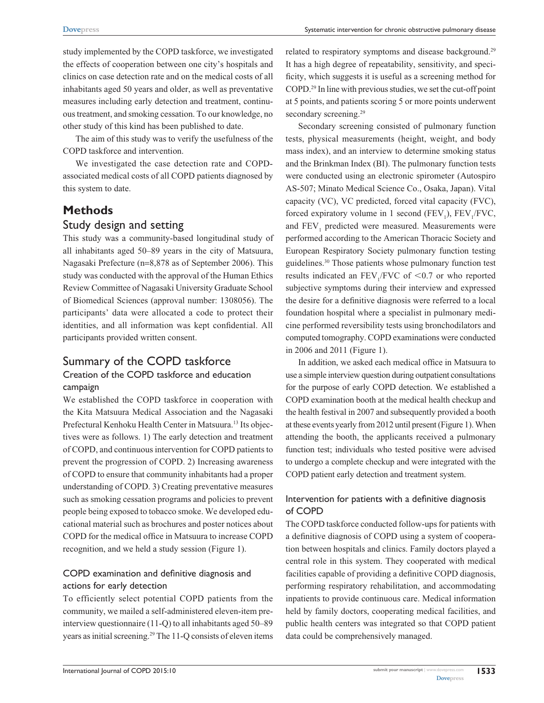study implemented by the COPD taskforce, we investigated the effects of cooperation between one city's hospitals and clinics on case detection rate and on the medical costs of all inhabitants aged 50 years and older, as well as preventative measures including early detection and treatment, continuous treatment, and smoking cessation. To our knowledge, no other study of this kind has been published to date.

The aim of this study was to verify the usefulness of the COPD taskforce and intervention.

We investigated the case detection rate and COPDassociated medical costs of all COPD patients diagnosed by this system to date.

# **Methods**

### Study design and setting

This study was a community-based longitudinal study of all inhabitants aged 50–89 years in the city of Matsuura, Nagasaki Prefecture (n=8,878 as of September 2006). This study was conducted with the approval of the Human Ethics Review Committee of Nagasaki University Graduate School of Biomedical Sciences (approval number: 1308056). The participants' data were allocated a code to protect their identities, and all information was kept confidential. All participants provided written consent.

# Summary of the COPD taskforce

### Creation of the COPD taskforce and education campaign

We established the COPD taskforce in cooperation with the Kita Matsuura Medical Association and the Nagasaki Prefectural Kenhoku Health Center in Matsuura.<sup>13</sup> Its objectives were as follows. 1) The early detection and treatment of COPD, and continuous intervention for COPD patients to prevent the progression of COPD. 2) Increasing awareness of COPD to ensure that community inhabitants had a proper understanding of COPD. 3) Creating preventative measures such as smoking cessation programs and policies to prevent people being exposed to tobacco smoke. We developed educational material such as brochures and poster notices about COPD for the medical office in Matsuura to increase COPD recognition, and we held a study session (Figure 1).

### COPD examination and definitive diagnosis and actions for early detection

To efficiently select potential COPD patients from the community, we mailed a self-administered eleven-item preinterview questionnaire (11-Q) to all inhabitants aged 50–89 years as initial screening.29 The 11-Q consists of eleven items related to respiratory symptoms and disease background.<sup>29</sup> It has a high degree of repeatability, sensitivity, and specificity, which suggests it is useful as a screening method for COPD.29 In line with previous studies, we set the cut-off point at 5 points, and patients scoring 5 or more points underwent secondary screening.<sup>29</sup>

Secondary screening consisted of pulmonary function tests, physical measurements (height, weight, and body mass index), and an interview to determine smoking status and the Brinkman Index (BI). The pulmonary function tests were conducted using an electronic spirometer (Autospiro AS-507; Minato Medical Science Co., Osaka, Japan). Vital capacity (VC), VC predicted, forced vital capacity (FVC), forced expiratory volume in 1 second  $(FEV_1)$ ,  $FEV_1/FVC$ , and  $FEV<sub>1</sub>$  predicted were measured. Measurements were performed according to the American Thoracic Society and European Respiratory Society pulmonary function testing guidelines.30 Those patients whose pulmonary function test results indicated an  $FEV_1/FVC$  of  $\leq 0.7$  or who reported subjective symptoms during their interview and expressed the desire for a definitive diagnosis were referred to a local foundation hospital where a specialist in pulmonary medicine performed reversibility tests using bronchodilators and computed tomography. COPD examinations were conducted in 2006 and 2011 (Figure 1).

In addition, we asked each medical office in Matsuura to use a simple interview question during outpatient consultations for the purpose of early COPD detection. We established a COPD examination booth at the medical health checkup and the health festival in 2007 and subsequently provided a booth at these events yearly from 2012 until present (Figure 1). When attending the booth, the applicants received a pulmonary function test; individuals who tested positive were advised to undergo a complete checkup and were integrated with the COPD patient early detection and treatment system.

### Intervention for patients with a definitive diagnosis of COPD

The COPD taskforce conducted follow-ups for patients with a definitive diagnosis of COPD using a system of cooperation between hospitals and clinics. Family doctors played a central role in this system. They cooperated with medical facilities capable of providing a definitive COPD diagnosis, performing respiratory rehabilitation, and accommodating inpatients to provide continuous care. Medical information held by family doctors, cooperating medical facilities, and public health centers was integrated so that COPD patient data could be comprehensively managed.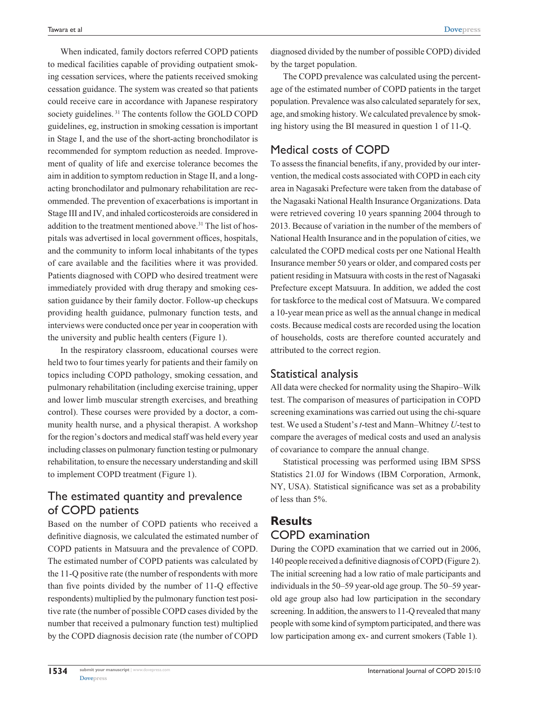When indicated, family doctors referred COPD patients to medical facilities capable of providing outpatient smoking cessation services, where the patients received smoking cessation guidance. The system was created so that patients could receive care in accordance with Japanese respiratory society guidelines.<sup>31</sup> The contents follow the GOLD COPD guidelines, eg, instruction in smoking cessation is important in Stage I, and the use of the short-acting bronchodilator is recommended for symptom reduction as needed. Improvement of quality of life and exercise tolerance becomes the aim in addition to symptom reduction in Stage II, and a longacting bronchodilator and pulmonary rehabilitation are recommended. The prevention of exacerbations is important in Stage III and IV, and inhaled corticosteroids are considered in addition to the treatment mentioned above.<sup>31</sup> The list of hospitals was advertised in local government offices, hospitals, and the community to inform local inhabitants of the types of care available and the facilities where it was provided. Patients diagnosed with COPD who desired treatment were immediately provided with drug therapy and smoking cessation guidance by their family doctor. Follow-up checkups providing health guidance, pulmonary function tests, and interviews were conducted once per year in cooperation with the university and public health centers (Figure 1).

In the respiratory classroom, educational courses were held two to four times yearly for patients and their family on topics including COPD pathology, smoking cessation, and pulmonary rehabilitation (including exercise training, upper and lower limb muscular strength exercises, and breathing control). These courses were provided by a doctor, a community health nurse, and a physical therapist. A workshop for the region's doctors and medical staff was held every year including classes on pulmonary function testing or pulmonary rehabilitation, to ensure the necessary understanding and skill to implement COPD treatment (Figure 1).

# The estimated quantity and prevalence of COPD patients

Based on the number of COPD patients who received a definitive diagnosis, we calculated the estimated number of COPD patients in Matsuura and the prevalence of COPD. The estimated number of COPD patients was calculated by the 11-Q positive rate (the number of respondents with more than five points divided by the number of 11-Q effective respondents) multiplied by the pulmonary function test positive rate (the number of possible COPD cases divided by the number that received a pulmonary function test) multiplied by the COPD diagnosis decision rate (the number of COPD

diagnosed divided by the number of possible COPD) divided by the target population.

The COPD prevalence was calculated using the percentage of the estimated number of COPD patients in the target population. Prevalence was also calculated separately for sex, age, and smoking history. We calculated prevalence by smoking history using the BI measured in question 1 of 11-Q.

# Medical costs of COPD

To assess the financial benefits, if any, provided by our intervention, the medical costs associated with COPD in each city area in Nagasaki Prefecture were taken from the database of the Nagasaki National Health Insurance Organizations. Data were retrieved covering 10 years spanning 2004 through to 2013. Because of variation in the number of the members of National Health Insurance and in the population of cities, we calculated the COPD medical costs per one National Health Insurance member 50 years or older, and compared costs per patient residing in Matsuura with costs in the rest of Nagasaki Prefecture except Matsuura. In addition, we added the cost for taskforce to the medical cost of Matsuura. We compared a 10-year mean price as well as the annual change in medical costs. Because medical costs are recorded using the location of households, costs are therefore counted accurately and attributed to the correct region.

### Statistical analysis

All data were checked for normality using the Shapiro–Wilk test. The comparison of measures of participation in COPD screening examinations was carried out using the chi-square test. We used a Student's *t*-test and Mann–Whitney *U*-test to compare the averages of medical costs and used an analysis of covariance to compare the annual change.

Statistical processing was performed using IBM SPSS Statistics 21.0J for Windows (IBM Corporation, Armonk, NY, USA). Statistical significance was set as a probability of less than 5%.

# **Results** COPD examination

During the COPD examination that we carried out in 2006, 140 people received a definitive diagnosis of COPD (Figure 2). The initial screening had a low ratio of male participants and individuals in the 50–59 year-old age group. The 50–59 yearold age group also had low participation in the secondary screening. In addition, the answers to 11-Q revealed that many people with some kind of symptom participated, and there was low participation among ex- and current smokers (Table 1).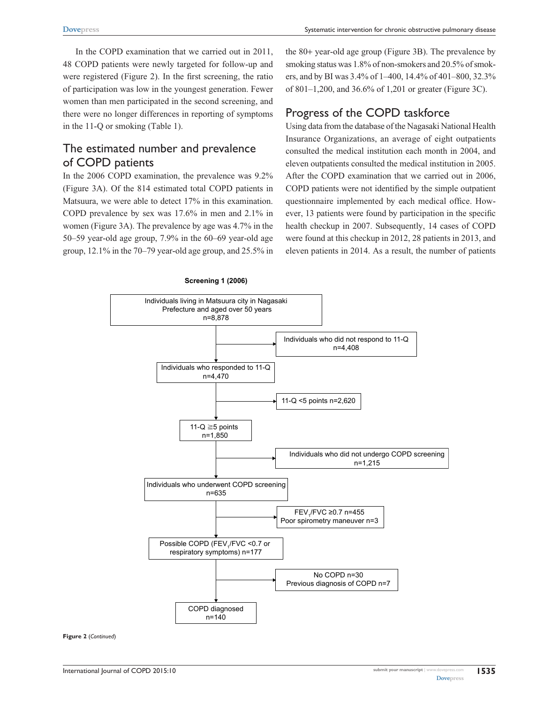In the COPD examination that we carried out in 2011, 48 COPD patients were newly targeted for follow-up and were registered (Figure 2). In the first screening, the ratio of participation was low in the youngest generation. Fewer women than men participated in the second screening, and there were no longer differences in reporting of symptoms in the 11-Q or smoking (Table 1).

# The estimated number and prevalence of COPD patients

In the 2006 COPD examination, the prevalence was 9.2% (Figure 3A). Of the 814 estimated total COPD patients in Matsuura, we were able to detect 17% in this examination. COPD prevalence by sex was 17.6% in men and 2.1% in women (Figure 3A). The prevalence by age was 4.7% in the 50–59 year-old age group, 7.9% in the 60–69 year-old age group, 12.1% in the 70–79 year-old age group, and 25.5% in

#### *Screening 1 (2006)*

the 80+ year-old age group (Figure 3B). The prevalence by smoking status was 1.8% of non-smokers and 20.5% of smokers, and by BI was 3.4% of 1–400, 14.4% of 401–800, 32.3% of 801–1,200, and 36.6% of 1,201 or greater (Figure 3C).

# Progress of the COPD taskforce

Using data from the database of the Nagasaki National Health Insurance Organizations, an average of eight outpatients consulted the medical institution each month in 2004, and eleven outpatients consulted the medical institution in 2005. After the COPD examination that we carried out in 2006, COPD patients were not identified by the simple outpatient questionnaire implemented by each medical office. However, 13 patients were found by participation in the specific health checkup in 2007. Subsequently, 14 cases of COPD were found at this checkup in 2012, 28 patients in 2013, and eleven patients in 2014. As a result, the number of patients



**Figure 2** (*Continued*)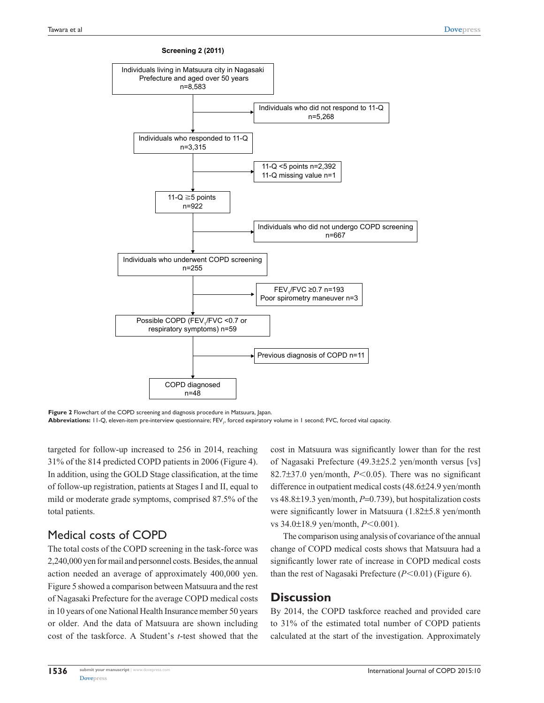

**Figure 2** Flowchart of the COPD screening and diagnosis procedure in Matsuura, Japan.

Abbreviations: 11-Q, eleven-item pre-interview questionnaire; FEV<sub>1</sub>, forced expiratory volume in 1 second; FVC, forced vital capacity.

targeted for follow-up increased to 256 in 2014, reaching 31% of the 814 predicted COPD patients in 2006 (Figure 4). In addition, using the GOLD Stage classification, at the time of follow-up registration, patients at Stages I and II, equal to mild or moderate grade symptoms, comprised 87.5% of the total patients.

### Medical costs of COPD

The total costs of the COPD screening in the task-force was 2,240,000 yen for mail and personnel costs. Besides, the annual action needed an average of approximately 400,000 yen. Figure 5 showed a comparison between Matsuura and the rest of Nagasaki Prefecture for the average COPD medical costs in 10 years of one National Health Insurance member 50 years or older. And the data of Matsuura are shown including cost of the taskforce. A Student's *t*-test showed that the cost in Matsuura was significantly lower than for the rest of Nagasaki Prefecture (49.3±25.2 yen/month versus [vs] 82.7 $\pm$ 37.0 yen/month,  $P<0.05$ ). There was no significant difference in outpatient medical costs (48.6±24.9 yen/month vs 48.8±19.3 yen/month, *P*=0.739), but hospitalization costs were significantly lower in Matsuura (1.82±5.8 yen/month vs  $34.0 \pm 18.9$  yen/month,  $P < 0.001$ ).

The comparison using analysis of covariance of the annual change of COPD medical costs shows that Matsuura had a significantly lower rate of increase in COPD medical costs than the rest of Nagasaki Prefecture  $(P<0.01)$  (Figure 6).

### **Discussion**

By 2014, the COPD taskforce reached and provided care to 31% of the estimated total number of COPD patients calculated at the start of the investigation. Approximately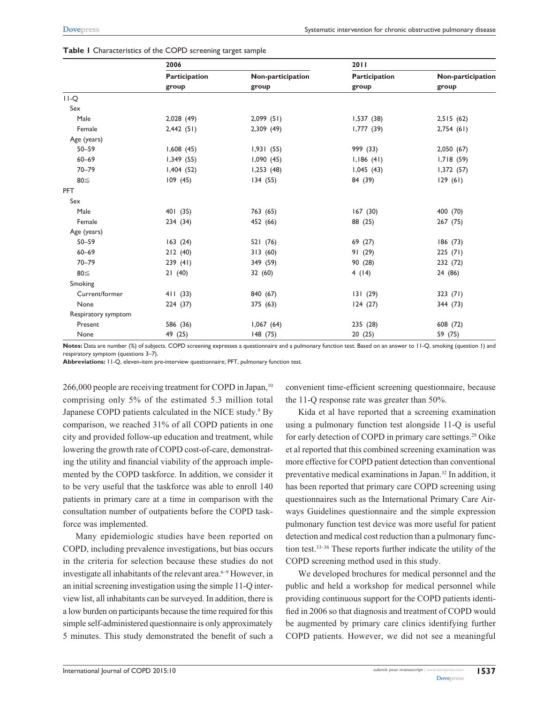|                     | 2006          |                   | 2011          |                            |  |
|---------------------|---------------|-------------------|---------------|----------------------------|--|
|                     | Participation | Non-participation | Participation | Non-participation<br>group |  |
|                     | group         | group             | group         |                            |  |
| $II-Q$              |               |                   |               |                            |  |
| Sex                 |               |                   |               |                            |  |
| Male                | 2,028 (49)    | 2,099(51)         | 1,537(38)     | 2,515(62)                  |  |
| Female              | 2,442(51)     | 2,309 (49)        | 1,777(39)     | 2,754(61)                  |  |
| Age (years)         |               |                   |               |                            |  |
| $50 - 59$           | 1,608(45)     | 1,931(55)         | 999 (33)      | 2,050(67)                  |  |
| $60 - 69$           | 1,349(55)     | 1,090(45)         | 1,186(41)     | 1,718(59)                  |  |
| $70 - 79$           | 1,404(52)     | 1,253(48)         | 1,045(43)     | 1,372(57)                  |  |
| $80 \leq$           | 109(45)       | 134(55)           | 84 (39)       | 129(61)                    |  |
| PFT                 |               |                   |               |                            |  |
| Sex                 |               |                   |               |                            |  |
| Male                | 401 (35)      | 763 (65)          | 167(30)       | 400 (70)                   |  |
| Female              | 234 (34)      | 452 (66)          | 88 (25)       | 267 (75)                   |  |
| Age (years)         |               |                   |               |                            |  |
| $50 - 59$           | 163(24)       | 521 (76)          | 69 (27)       | 186(73)                    |  |
| $60 - 69$           | 212(40)       | 313(60)           | 91(29)        | 225(71)                    |  |
| $70 - 79$           | 239 (41)      | 349 (59)          | 90 (28)       | 232 (72)                   |  |
| 80≦                 | 21(40)        | 32 (60)           | 4(14)         | 24 (86)                    |  |
| Smoking             |               |                   |               |                            |  |
| Current/former      | 411(33)       | 840 (67)          | 131(29)       | 323(71)                    |  |
| None                | 224 (37)      | 375 (63)          | 124(27)       | 344 (73)                   |  |
| Respiratory symptom |               |                   |               |                            |  |
| Present             | 586 (36)      | 1,067(64)         | 235 (28)      | 608 (72)                   |  |
| None                | 49 (25)       | 148 (75)          | 20(25)        | 59 (75)                    |  |

**Table 1** Characteristics of the COPD screening target sample

**Notes:** Data are number (%) of subjects. COPD screening expresses a questionnaire and a pulmonary function test. Based on an answer to 11-Q, smoking (question 1) and respiratory symptom (questions 3–7).

**Abbreviations:** 11-Q, eleven-item pre-interview questionnaire; PFT, pulmonary function test.

266,000 people are receiving treatment for COPD in Japan,<sup>10</sup> comprising only 5% of the estimated 5.3 million total Japanese COPD patients calculated in the NICE study.<sup>9</sup> By comparison, we reached 31% of all COPD patients in one city and provided follow-up education and treatment, while lowering the growth rate of COPD cost-of-care, demonstrating the utility and financial viability of the approach implemented by the COPD taskforce. In addition, we consider it to be very useful that the taskforce was able to enroll 140 patients in primary care at a time in comparison with the consultation number of outpatients before the COPD taskforce was implemented.

Many epidemiologic studies have been reported on COPD, including prevalence investigations, but bias occurs in the criteria for selection because these studies do not investigate all inhabitants of the relevant area.<sup>6-9</sup> However, in an initial screening investigation using the simple 11-Q interview list, all inhabitants can be surveyed. In addition, there is a low burden on participants because the time required for this simple self-administered questionnaire is only approximately 5 minutes. This study demonstrated the benefit of such a convenient time-efficient screening questionnaire, because the 11-Q response rate was greater than 50%.

Kida et al have reported that a screening examination using a pulmonary function test alongside 11-Q is useful for early detection of COPD in primary care settings.<sup>29</sup> Oike et al reported that this combined screening examination was more effective for COPD patient detection than conventional preventative medical examinations in Japan.32 In addition, it has been reported that primary care COPD screening using questionnaires such as the International Primary Care Airways Guidelines questionnaire and the simple expression pulmonary function test device was more useful for patient detection and medical cost reduction than a pulmonary function test.33–36 These reports further indicate the utility of the COPD screening method used in this study.

We developed brochures for medical personnel and the public and held a workshop for medical personnel while providing continuous support for the COPD patients identified in 2006 so that diagnosis and treatment of COPD would be augmented by primary care clinics identifying further COPD patients. However, we did not see a meaningful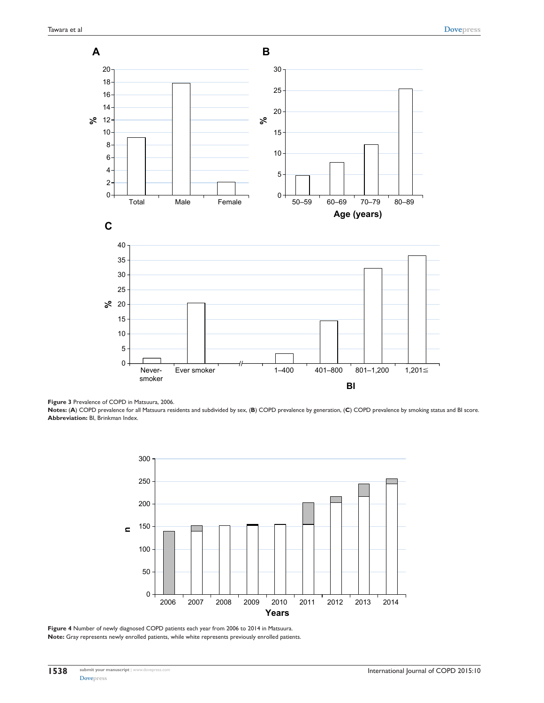

**Figure 3** Prevalence of COPD in Matsuura, 2006.

**Notes:** (**A**) COPD prevalence for all Matsuura residents and subdivided by sex, (**B**) COPD prevalence by generation, (**C**) COPD prevalence by smoking status and BI score. **Abbreviation:** BI, Brinkman Index.



**Figure 4** Number of newly diagnosed COPD patients each year from 2006 to 2014 in Matsuura. **Note:** Gray represents newly enrolled patients, while white represents previously enrolled patients.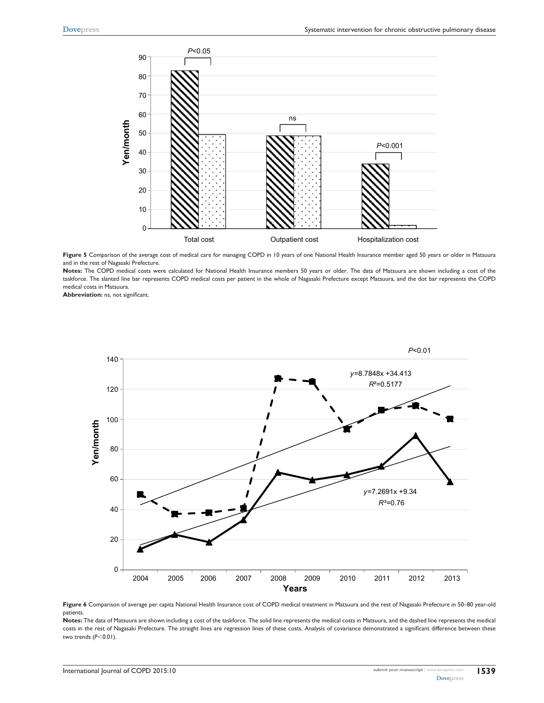



**Notes:** The COPD medical costs were calculated for National Health Insurance members 50 years or older. The data of Matsuura are shown including a cost of the taskforce. The slanted line bar represents COPD medical costs per patient in the whole of Nagasaki Prefecture except Matsuura, and the dot bar represents the COPD medical costs in Matsuura.

**Abbreviation:** ns, not significant.



**Figure 6** Comparison of average per capita National Health Insurance cost of COPD medical treatment in Matsuura and the rest of Nagasaki Prefecture in 50–80 year-old patients.

**Notes:** The data of Matsuura are shown including a cost of the taskforce. The solid line represents the medical costs in Matsuura, and the dashed line represents the medical costs in the rest of Nagasaki Prefecture. The straight lines are regression lines of these costs. Analysis of covariance demonstrated a significant difference between these two trends (P<0.01).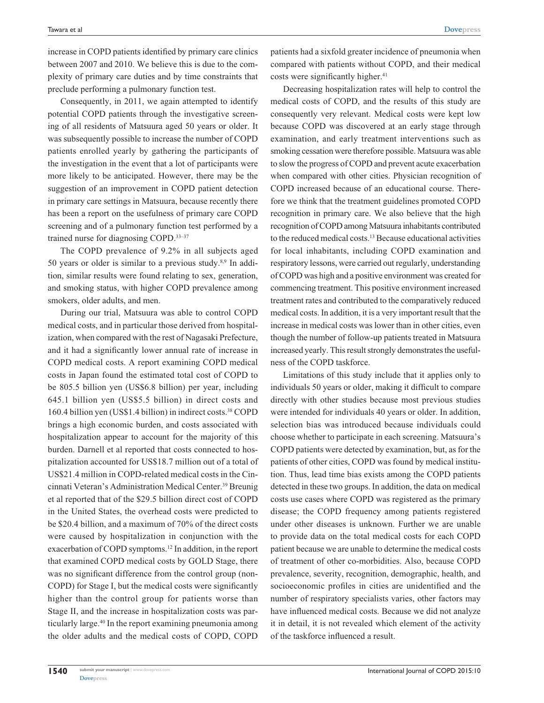increase in COPD patients identified by primary care clinics between 2007 and 2010. We believe this is due to the complexity of primary care duties and by time constraints that preclude performing a pulmonary function test.

Consequently, in 2011, we again attempted to identify potential COPD patients through the investigative screening of all residents of Matsuura aged 50 years or older. It was subsequently possible to increase the number of COPD patients enrolled yearly by gathering the participants of the investigation in the event that a lot of participants were more likely to be anticipated. However, there may be the suggestion of an improvement in COPD patient detection in primary care settings in Matsuura, because recently there has been a report on the usefulness of primary care COPD screening and of a pulmonary function test performed by a trained nurse for diagnosing COPD.33–37

The COPD prevalence of 9.2% in all subjects aged 50 years or older is similar to a previous study.<sup>8,9</sup> In addition, similar results were found relating to sex, generation, and smoking status, with higher COPD prevalence among smokers, older adults, and men.

During our trial, Matsuura was able to control COPD medical costs, and in particular those derived from hospitalization, when compared with the rest of Nagasaki Prefecture, and it had a significantly lower annual rate of increase in COPD medical costs. A report examining COPD medical costs in Japan found the estimated total cost of COPD to be 805.5 billion yen (US\$6.8 billion) per year, including 645.1 billion yen (US\$5.5 billion) in direct costs and 160.4 billion yen (US\$1.4 billion) in indirect costs.38 COPD brings a high economic burden, and costs associated with hospitalization appear to account for the majority of this burden. Darnell et al reported that costs connected to hospitalization accounted for US\$18.7 million out of a total of US\$21.4 million in COPD-related medical costs in the Cincinnati Veteran's Administration Medical Center.<sup>39</sup> Breunig et al reported that of the \$29.5 billion direct cost of COPD in the United States, the overhead costs were predicted to be \$20.4 billion, and a maximum of 70% of the direct costs were caused by hospitalization in conjunction with the exacerbation of COPD symptoms.12 In addition, in the report that examined COPD medical costs by GOLD Stage, there was no significant difference from the control group (non-COPD) for Stage I, but the medical costs were significantly higher than the control group for patients worse than Stage II, and the increase in hospitalization costs was particularly large.40 In the report examining pneumonia among the older adults and the medical costs of COPD, COPD

patients had a sixfold greater incidence of pneumonia when compared with patients without COPD, and their medical costs were significantly higher.<sup>41</sup>

Decreasing hospitalization rates will help to control the medical costs of COPD, and the results of this study are consequently very relevant. Medical costs were kept low because COPD was discovered at an early stage through examination, and early treatment interventions such as smoking cessation were therefore possible. Matsuura was able to slow the progress of COPD and prevent acute exacerbation when compared with other cities. Physician recognition of COPD increased because of an educational course. Therefore we think that the treatment guidelines promoted COPD recognition in primary care. We also believe that the high recognition of COPD among Matsuura inhabitants contributed to the reduced medical costs.13 Because educational activities for local inhabitants, including COPD examination and respiratory lessons, were carried out regularly, understanding of COPD was high and a positive environment was created for commencing treatment. This positive environment increased treatment rates and contributed to the comparatively reduced medical costs. In addition, it is a very important result that the increase in medical costs was lower than in other cities, even though the number of follow-up patients treated in Matsuura increased yearly. This result strongly demonstrates the usefulness of the COPD taskforce.

Limitations of this study include that it applies only to individuals 50 years or older, making it difficult to compare directly with other studies because most previous studies were intended for individuals 40 years or older. In addition, selection bias was introduced because individuals could choose whether to participate in each screening. Matsuura's COPD patients were detected by examination, but, as for the patients of other cities, COPD was found by medical institution. Thus, lead time bias exists among the COPD patients detected in these two groups. In addition, the data on medical costs use cases where COPD was registered as the primary disease; the COPD frequency among patients registered under other diseases is unknown. Further we are unable to provide data on the total medical costs for each COPD patient because we are unable to determine the medical costs of treatment of other co-morbidities. Also, because COPD prevalence, severity, recognition, demographic, health, and socioeconomic profiles in cities are unidentified and the number of respiratory specialists varies, other factors may have influenced medical costs. Because we did not analyze it in detail, it is not revealed which element of the activity of the taskforce influenced a result.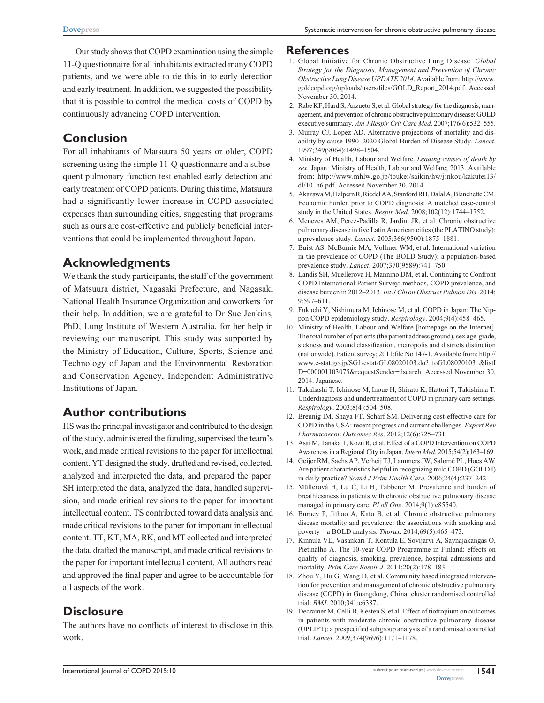Our study shows that COPD examination using the simple 11-Q questionnaire for all inhabitants extracted many COPD patients, and we were able to tie this in to early detection and early treatment. In addition, we suggested the possibility that it is possible to control the medical costs of COPD by continuously advancing COPD intervention.

# **Conclusion**

For all inhabitants of Matsuura 50 years or older, COPD screening using the simple 11-Q questionnaire and a subsequent pulmonary function test enabled early detection and early treatment of COPD patients. During this time, Matsuura had a significantly lower increase in COPD-associated expenses than surrounding cities, suggesting that programs such as ours are cost-effective and publicly beneficial interventions that could be implemented throughout Japan.

# **Acknowledgments**

We thank the study participants, the staff of the government of Matsuura district, Nagasaki Prefecture, and Nagasaki National Health Insurance Organization and coworkers for their help. In addition, we are grateful to Dr Sue Jenkins, PhD, Lung Institute of Western Australia, for her help in reviewing our manuscript. This study was supported by the Ministry of Education, Culture, Sports, Science and Technology of Japan and the Environmental Restoration and Conservation Agency, Independent Administrative Institutions of Japan.

### **Author contributions**

HS was the principal investigator and contributed to the design of the study, administered the funding, supervised the team's work, and made critical revisions to the paper for intellectual content. YT designed the study, drafted and revised, collected, analyzed and interpreted the data, and prepared the paper. SH interpreted the data, analyzed the data, handled supervision, and made critical revisions to the paper for important intellectual content. TS contributed toward data analysis and made critical revisions to the paper for important intellectual content. TT, KT, MA, RK, and MT collected and interpreted the data, drafted the manuscript, and made critical revisions to the paper for important intellectual content. All authors read and approved the final paper and agree to be accountable for all aspects of the work.

# **Disclosure**

The authors have no conflicts of interest to disclose in this work.

### **References**

- 1. Global Initiative for Chronic Obstructive Lung Disease. *Global Strategy for the Diagnosis, Management and Prevention of Chronic Obstructive Lung Disease UPDATE 2014*. Available from: [http://www.](http://www.goldcopd.org/uploads/users/files/GOLD_Report_2014.pdf) [goldcopd.org/uploads/users/files/GOLD\\_Report\\_2014.pdf.](http://www.goldcopd.org/uploads/users/files/GOLD_Report_2014.pdf) Accessed November 30, 2014.
- 2. Rabe KF, Hurd S, Anzueto S, et al. Global strategy for the diagnosis, management, and prevention of chronic obstructive pulmonary disease: GOLD executive summary. *Am J Respir Crit Care Med*. 2007;176(6):532–555.
- 3. Murray CJ, Lopez AD. Alternative projections of mortality and disability by cause 1990–2020 Global Burden of Disease Study. *Lancet*. 1997;349(9064):1498–1504.
- 4. Ministry of Health, Labour and Welfare. *Leading causes of death by sex*. Japan: Ministry of Health, Labour and Welfare; 2013. Available from: [http://www.mhlw.go.jp/toukei/saikin/hw/jinkou/kakutei13/](http://www.mhlw.go.jp/toukei/saikin/hw/jinkou/kakutei13/dl/10_h6.pdf) [dl/10\\_h6.pdf.](http://www.mhlw.go.jp/toukei/saikin/hw/jinkou/kakutei13/dl/10_h6.pdf) Accessed November 30, 2014.
- 5. Akazawa M, Halpern R, Riedel AA, Stanford RH, Dalal A, Blanchette CM. Economic burden prior to COPD diagnosis: A matched case-control study in the United States. *Respir Med*. 2008;102(12):1744–1752.
- 6. Menezes AM, Perez-Padilla R, Jardim JR, et al. Chronic obstructive pulmonary disease in five Latin American cities (the PLATINO study): a prevalence study. *Lancet*. 2005;366(9500):1875–1881.
- 7. Buist AS, McBurnie MA, Vollmer WM, et al. International variation in the prevalence of COPD (The BOLD Study): a population-based prevalence study. *Lancet*. 2007;370(9589):741–750.
- 8. Landis SH, Muellerova H, Mannino DM, et al. Continuing to Confront COPD International Patient Survey: methods, COPD prevalence, and disease burden in 2012–2013. *Int J Chron Obstruct Pulmon Dis*. 2014; 9:597–611.
- 9. Fukuchi Y, Nishimura M, Ichinose M, et al. COPD in Japan: The Nippon COPD epidemiology study. *Respirology*. 2004;9(4):458–465.
- 10. Ministry of Health, Labour and Welfare [homepage on the Internet]. The total number of patients (the patient address ground), sex age-grade, sickness and wound classification, metropolis and districts distinction (nationwide). Patient survey; 2011:file No 147-1. Available from: [http://](http://www.e-stat.go.jp/SG1/estat/GL08020103.do?_toGL08020103_&listID=000001103075&requestSender=dsearch) [www.e-stat.go.jp/SG1/estat/GL08020103.do?\\_toGL08020103\\_&listI](http://www.e-stat.go.jp/SG1/estat/GL08020103.do?_toGL08020103_&listID=000001103075&requestSender=dsearch) D=[000001103075&requestSender](http://www.e-stat.go.jp/SG1/estat/GL08020103.do?_toGL08020103_&listID=000001103075&requestSender=dsearch)=dsearch. Accessed November 30, 2014. Japanese.
- 11. Takahashi T, Ichinose M, Inoue H, Shirato K, Hattori T, Takishima T. Underdiagnosis and undertreatment of COPD in primary care settings. *Respirology*. 2003;8(4):504–508.
- 12. Breunig IM, Shaya FT, Scharf SM. Delivering cost-effective care for COPD in the USA: recent progress and current challenges. *Expert Rev Pharmacoecon Outcomes Res*. 2012;12(6):725–731.
- 13. Asai M, Tanaka T, Kozu R, et al. Effect of a COPD Intervention on COPD Awareness in a Regional City in Japan. *Intern Med*. 2015;54(2):163–169.
- 14. Geijer RM, Sachs AP, Verheij TJ, Lammers JW, Salomé PL, Hoes AW. Are patient characteristics helpful in recognizing mild COPD (GOLD I) in daily practice? *Scand J Prim Health Care*. 2006;24(4):237–242.
- 15. Müllerová H, Lu C, Li H, Tabberer M. Prevalence and burden of breathlessness in patients with chronic obstructive pulmonary disease managed in primary care. *PLoS One*. 2014;9(1):e85540.
- 16. Burney P, Jithoo A, Kato B, et al. Chronic obstructive pulmonary disease mortality and prevalence: the associations with smoking and poverty – a BOLD analysis. *Thorax*. 2014;69(5):465–473.
- 17. Kinnula VL, Vasankari T, Kontula E, Sovijarvi A, Saynajakangas O, Pietinalho A. The 10-year COPD Programme in Finland: effects on quality of diagnosis, smoking, prevalence, hospital admissions and mortality. *Prim Care Respir J*. 2011;20(2):178–183.
- 18. Zhou Y, Hu G, Wang D, et al. Community based integrated intervention for prevention and management of chronic obstructive pulmonary disease (COPD) in Guangdong, China: cluster randomised controlled trial. *BMJ*. 2010;341:c6387.
- 19. Decramer M, Celli B, Kesten S, et al. Effect of tiotropium on outcomes in patients with moderate chronic obstructive pulmonary disease (UPLIFT): a prespecified subgroup analysis of a randomised controlled trial. *Lancet*. 2009;374(9696):1171–1178.